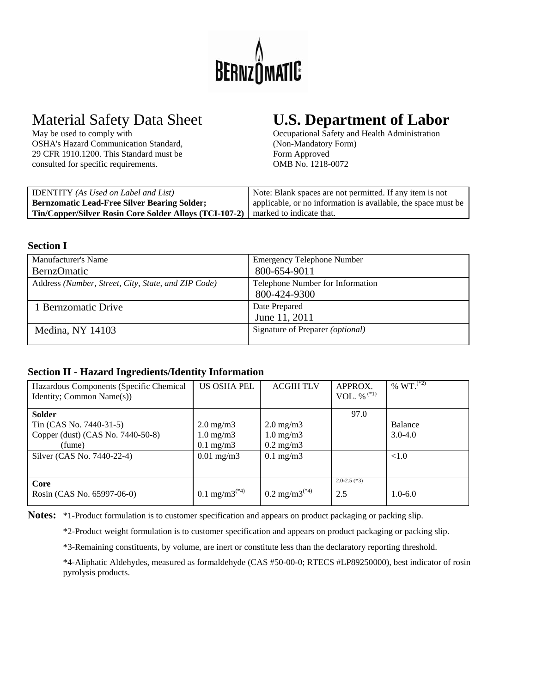

OSHA's Hazard Communication Standard, (Non-Mandatory Form) 29 CFR 1910.1200. This Standard must be Form Approved consulted for specific requirements. OMB No. 1218-0072

# Material Safety Data Sheet **U.S. Department of Labor**<br>May be used to comply with Cocupational Safety and Health Administration

Occupational Safety and Health Administration

| <b>IDENTITY</b> (As Used on Label and List)                                            | Note: Blank spaces are not permitted. If any item is not      |
|----------------------------------------------------------------------------------------|---------------------------------------------------------------|
| <b>Bernzomatic Lead-Free Silver Bearing Solder;</b>                                    | applicable, or no information is available, the space must be |
| <b>Tin/Copper/Silver Rosin Core Solder Alloys (TCI-107-2)</b> marked to indicate that. |                                                               |

### **Section I**

| Manufacturer's Name                                 | <b>Emergency Telephone Number</b>       |
|-----------------------------------------------------|-----------------------------------------|
| <b>BernzOmatic</b>                                  | 800-654-9011                            |
| Address (Number, Street, City, State, and ZIP Code) | Telephone Number for Information        |
|                                                     | 800-424-9300                            |
| 1 Bernzomatic Drive                                 | Date Prepared                           |
|                                                     | June 11, 2011                           |
| Medina, NY 14103                                    | Signature of Preparer <i>(optional)</i> |
|                                                     |                                         |

# **Section II - Hazard Ingredients/Identity Information**

| Hazardous Components (Specific Chemical<br>Identity; Common Name(s)) | <b>US OSHA PEL</b>   | <b>ACGIH TLV</b>          | APPROX.<br>VOL. % $(1)$ | % $WT.$ <sup>(*2)</sup> |
|----------------------------------------------------------------------|----------------------|---------------------------|-------------------------|-------------------------|
|                                                                      |                      |                           |                         |                         |
| <b>Solder</b>                                                        |                      |                           | 97.0                    |                         |
| Tin (CAS No. 7440-31-5)                                              | $2.0 \text{ mg/m}$   | $2.0 \text{ mg/m}$        |                         | Balance                 |
| Copper (dust) (CAS No. 7440-50-8)                                    | $1.0 \text{ mg/m}$ 3 | $1.0 \text{ mg/m}$        |                         | $3.0 - 4.0$             |
| (fume)                                                               | $0.1 \text{ mg/m}$ 3 | $0.2 \text{ mg/m}$        |                         |                         |
| Silver (CAS No. 7440-22-4)                                           | $0.01$ mg/m $3$      | $0.1 \text{ mg/m}$        |                         | < 1.0                   |
|                                                                      |                      |                           |                         |                         |
| Core                                                                 |                      |                           | $2.0 - 2.5$ (*3)        |                         |
| Rosin (CAS No. 65997-06-0)                                           | 0.1 mg/m $3^{(*)}$   | 0.2 mg/m3 <sup>(*4)</sup> | 2.5                     | $1.0 - 6.0$             |

**Notes:** \*1-Product formulation is to customer specification and appears on product packaging or packing slip.

\*2-Product weight formulation is to customer specification and appears on product packaging or packing slip.

\*3-Remaining constituents, by volume, are inert or constitute less than the declaratory reporting threshold.

 \*4-Aliphatic Aldehydes, measured as formaldehyde (CAS #50-00-0; RTECS #LP89250000), best indicator of rosin pyrolysis products.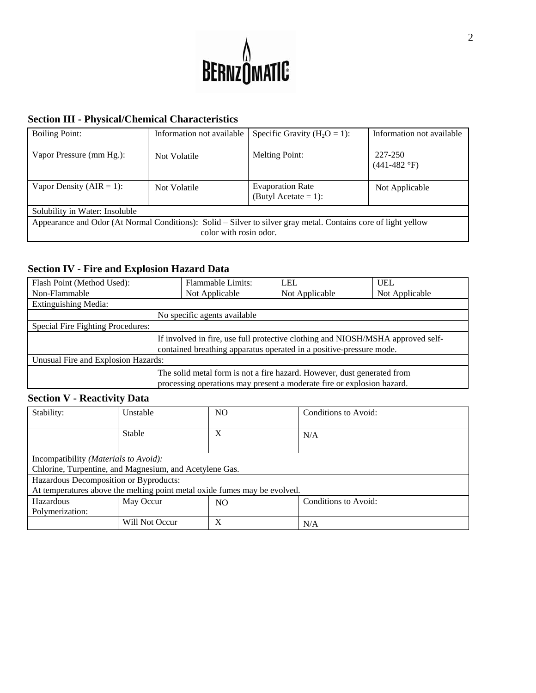

# **Section III - Physical/Chemical Characteristics**

| <b>Boiling Point:</b>                                                                                                                    | Information not available | Specific Gravity ( $H_2O = 1$ ):                | Information not available         |  |
|------------------------------------------------------------------------------------------------------------------------------------------|---------------------------|-------------------------------------------------|-----------------------------------|--|
| Vapor Pressure (mm Hg.):                                                                                                                 | Not Volatile              | <b>Melting Point:</b>                           | 227-250<br>$(441-482 \text{ °F})$ |  |
| Vapor Density ( $AIR = 1$ ):                                                                                                             | Not Volatile              | <b>Evaporation Rate</b><br>(Butyl Acetate = 1): | Not Applicable                    |  |
| Solubility in Water: Insoluble                                                                                                           |                           |                                                 |                                   |  |
| Appearance and Odor (At Normal Conditions): Solid – Silver to silver gray metal. Contains core of light yellow<br>color with rosin odor. |                           |                                                 |                                   |  |

# **Section IV - Fire and Explosion Hazard Data**

| Flash Point (Method Used):          | <b>Flammable Limits:</b>                                                                                                                               | <b>LEL</b>     | <b>UEL</b>     |  |
|-------------------------------------|--------------------------------------------------------------------------------------------------------------------------------------------------------|----------------|----------------|--|
| Non-Flammable                       | Not Applicable                                                                                                                                         | Not Applicable | Not Applicable |  |
| <b>Extinguishing Media:</b>         |                                                                                                                                                        |                |                |  |
|                                     | No specific agents available                                                                                                                           |                |                |  |
| Special Fire Fighting Procedures:   |                                                                                                                                                        |                |                |  |
|                                     | If involved in fire, use full protective clothing and NIOSH/MSHA approved self-<br>contained breathing apparatus operated in a positive-pressure mode. |                |                |  |
| Unusual Fire and Explosion Hazards: |                                                                                                                                                        |                |                |  |
|                                     | The solid metal form is not a fire hazard. However, dust generated from<br>processing operations may present a moderate fire or explosion hazard.      |                |                |  |

# **Section V - Reactivity Data**

| Stability:                                                                | Unstable       | NO  | Conditions to Avoid: |  |
|---------------------------------------------------------------------------|----------------|-----|----------------------|--|
|                                                                           | Stable         | X   | N/A                  |  |
|                                                                           |                |     |                      |  |
| Incompatibility ( <i>Materials to Avoid</i> ):                            |                |     |                      |  |
| Chlorine, Turpentine, and Magnesium, and Acetylene Gas.                   |                |     |                      |  |
| Hazardous Decomposition or Byproducts:                                    |                |     |                      |  |
| At temperatures above the melting point metal oxide fumes may be evolved. |                |     |                      |  |
| Hazardous                                                                 | May Occur      | NO. | Conditions to Avoid: |  |
| Polymerization:                                                           |                |     |                      |  |
|                                                                           | Will Not Occur | X   | N/A                  |  |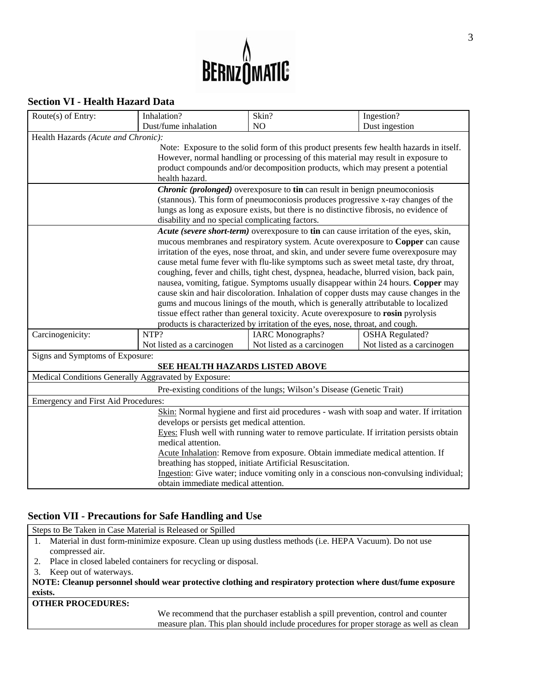

# **Section VI - Health Hazard Data**

| Route $(s)$ of Entry:                                                                    | Inhalation?                                     | Skin?                                                                                                                                                                        | Ingestion?                 |  |
|------------------------------------------------------------------------------------------|-------------------------------------------------|------------------------------------------------------------------------------------------------------------------------------------------------------------------------------|----------------------------|--|
|                                                                                          | Dust/fume inhalation                            | N <sub>O</sub>                                                                                                                                                               | Dust ingestion             |  |
| Health Hazards (Acute and Chronic):                                                      |                                                 |                                                                                                                                                                              |                            |  |
|                                                                                          |                                                 | Note: Exposure to the solid form of this product presents few health hazards in itself.                                                                                      |                            |  |
|                                                                                          |                                                 | However, normal handling or processing of this material may result in exposure to                                                                                            |                            |  |
|                                                                                          |                                                 | product compounds and/or decomposition products, which may present a potential                                                                                               |                            |  |
|                                                                                          | health hazard.                                  |                                                                                                                                                                              |                            |  |
|                                                                                          |                                                 | <i>Chronic (prolonged)</i> overexposure to tin can result in benign pneumoconiosis                                                                                           |                            |  |
|                                                                                          |                                                 | (stannous). This form of pneumoconiosis produces progressive x-ray changes of the                                                                                            |                            |  |
|                                                                                          |                                                 | lungs as long as exposure exists, but there is no distinctive fibrosis, no evidence of                                                                                       |                            |  |
|                                                                                          | disability and no special complicating factors. |                                                                                                                                                                              |                            |  |
|                                                                                          |                                                 | Acute (severe short-term) overexposure to tin can cause irritation of the eyes, skin,                                                                                        |                            |  |
|                                                                                          |                                                 | mucous membranes and respiratory system. Acute overexposure to Copper can cause                                                                                              |                            |  |
|                                                                                          |                                                 | irritation of the eyes, nose throat, and skin, and under severe fume overexposure may                                                                                        |                            |  |
|                                                                                          |                                                 | cause metal fume fever with flu-like symptoms such as sweet metal taste, dry throat,                                                                                         |                            |  |
|                                                                                          |                                                 | coughing, fever and chills, tight chest, dyspnea, headache, blurred vision, back pain,                                                                                       |                            |  |
|                                                                                          |                                                 | nausea, vomiting, fatigue. Symptoms usually disappear within 24 hours. Copper may                                                                                            |                            |  |
|                                                                                          |                                                 | cause skin and hair discoloration. Inhalation of copper dusts may cause changes in the<br>gums and mucous linings of the mouth, which is generally attributable to localized |                            |  |
|                                                                                          |                                                 | tissue effect rather than general toxicity. Acute overexposure to rosin pyrolysis                                                                                            |                            |  |
|                                                                                          |                                                 | products is characterized by irritation of the eyes, nose, throat, and cough.                                                                                                |                            |  |
| Carcinogenicity:                                                                         | NTP?                                            | <b>IARC</b> Monographs?                                                                                                                                                      | <b>OSHA</b> Regulated?     |  |
|                                                                                          | Not listed as a carcinogen                      | Not listed as a carcinogen                                                                                                                                                   | Not listed as a carcinogen |  |
| Signs and Symptoms of Exposure:                                                          |                                                 |                                                                                                                                                                              |                            |  |
|                                                                                          | SEE HEALTH HAZARDS LISTED ABOVE                 |                                                                                                                                                                              |                            |  |
| Medical Conditions Generally Aggravated by Exposure:                                     |                                                 |                                                                                                                                                                              |                            |  |
| Pre-existing conditions of the lungs; Wilson's Disease (Genetic Trait)                   |                                                 |                                                                                                                                                                              |                            |  |
| Emergency and First Aid Procedures:                                                      |                                                 |                                                                                                                                                                              |                            |  |
| Skin: Normal hygiene and first aid procedures - wash with soap and water. If irritation  |                                                 |                                                                                                                                                                              |                            |  |
| develops or persists get medical attention.                                              |                                                 |                                                                                                                                                                              |                            |  |
| Eyes: Flush well with running water to remove particulate. If irritation persists obtain |                                                 |                                                                                                                                                                              |                            |  |
| medical attention.                                                                       |                                                 |                                                                                                                                                                              |                            |  |
| Acute Inhalation: Remove from exposure. Obtain immediate medical attention. If           |                                                 |                                                                                                                                                                              |                            |  |
| breathing has stopped, initiate Artificial Resuscitation.                                |                                                 |                                                                                                                                                                              |                            |  |
| Ingestion: Give water; induce vomiting only in a conscious non-convulsing individual;    |                                                 |                                                                                                                                                                              |                            |  |
| obtain immediate medical attention.                                                      |                                                 |                                                                                                                                                                              |                            |  |

# **Section VII - Precautions for Safe Handling and Use**

|    | Steps to Be Taken in Case Material is Released or Spilled                                                   |  |  |  |
|----|-------------------------------------------------------------------------------------------------------------|--|--|--|
| 1. | Material in dust form-minimize exposure. Clean up using dustless methods (i.e. HEPA Vacuum). Do not use     |  |  |  |
|    | compressed air.                                                                                             |  |  |  |
|    | 2. Place in closed labeled containers for recycling or disposal.                                            |  |  |  |
| 3. | Keep out of waterways.                                                                                      |  |  |  |
|    | NOTE: Cleanup personnel should wear protective clothing and respiratory protection where dust/fume exposure |  |  |  |
|    | exists.                                                                                                     |  |  |  |
|    | <b>OTHER PROCEDURES:</b>                                                                                    |  |  |  |
|    | We recommend that the purchaser establish a spill prevention, control and counter                           |  |  |  |
|    | measure plan. This plan should include procedures for proper storage as well as clean                       |  |  |  |
|    |                                                                                                             |  |  |  |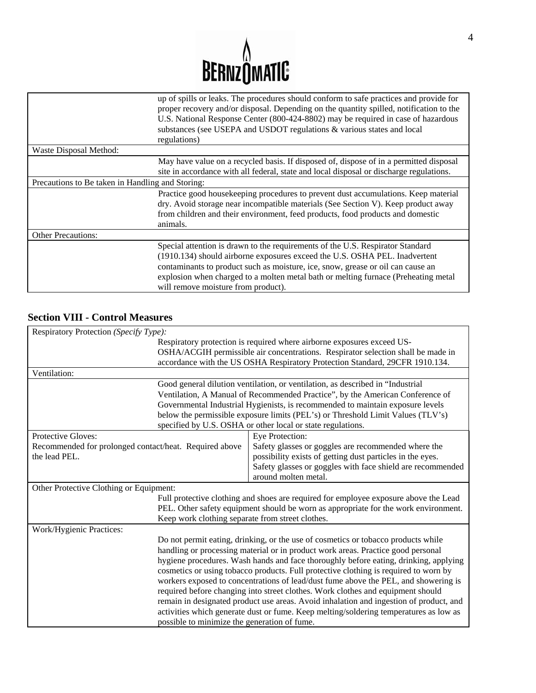

|                                                  | up of spills or leaks. The procedures should conform to safe practices and provide for<br>proper recovery and/or disposal. Depending on the quantity spilled, notification to the<br>U.S. National Response Center (800-424-8802) may be required in case of hazardous<br>substances (see USEPA and USDOT regulations & various states and local<br>regulations)              |  |
|--------------------------------------------------|-------------------------------------------------------------------------------------------------------------------------------------------------------------------------------------------------------------------------------------------------------------------------------------------------------------------------------------------------------------------------------|--|
| Waste Disposal Method:                           |                                                                                                                                                                                                                                                                                                                                                                               |  |
|                                                  | May have value on a recycled basis. If disposed of, dispose of in a permitted disposal<br>site in accordance with all federal, state and local disposal or discharge regulations.                                                                                                                                                                                             |  |
| Precautions to Be taken in Handling and Storing: |                                                                                                                                                                                                                                                                                                                                                                               |  |
|                                                  | Practice good housekeeping procedures to prevent dust accumulations. Keep material<br>dry. Avoid storage near incompatible materials (See Section V). Keep product away<br>from children and their environment, feed products, food products and domestic<br>animals.                                                                                                         |  |
| <b>Other Precautions:</b>                        |                                                                                                                                                                                                                                                                                                                                                                               |  |
|                                                  | Special attention is drawn to the requirements of the U.S. Respirator Standard<br>(1910.134) should airborne exposures exceed the U.S. OSHA PEL. Inadvertent<br>contaminants to product such as moisture, ice, snow, grease or oil can cause an<br>explosion when charged to a molten metal bath or melting furnace (Preheating metal)<br>will remove moisture from product). |  |

# **Section VIII - Control Measures**

| Respiratory Protection (Specify Type):                 |                                                                                        |  |  |
|--------------------------------------------------------|----------------------------------------------------------------------------------------|--|--|
|                                                        | Respiratory protection is required where airborne exposures exceed US-                 |  |  |
|                                                        | OSHA/ACGIH permissible air concentrations. Respirator selection shall be made in       |  |  |
|                                                        | accordance with the US OSHA Respiratory Protection Standard, 29CFR 1910.134.           |  |  |
| Ventilation:                                           |                                                                                        |  |  |
|                                                        | Good general dilution ventilation, or ventilation, as described in "Industrial         |  |  |
|                                                        | Ventilation, A Manual of Recommended Practice", by the American Conference of          |  |  |
|                                                        | Governmental Industrial Hygienists, is recommended to maintain exposure levels         |  |  |
|                                                        | below the permissible exposure limits (PEL's) or Threshold Limit Values (TLV's)        |  |  |
|                                                        | specified by U.S. OSHA or other local or state regulations.                            |  |  |
| Protective Gloves:                                     | Eye Protection:                                                                        |  |  |
| Recommended for prolonged contact/heat. Required above | Safety glasses or goggles are recommended where the                                    |  |  |
| the lead PEL.                                          | possibility exists of getting dust particles in the eyes.                              |  |  |
|                                                        | Safety glasses or goggles with face shield are recommended                             |  |  |
|                                                        | around molten metal.                                                                   |  |  |
| Other Protective Clothing or Equipment:                |                                                                                        |  |  |
|                                                        | Full protective clothing and shoes are required for employee exposure above the Lead   |  |  |
|                                                        | PEL. Other safety equipment should be worn as appropriate for the work environment.    |  |  |
|                                                        | Keep work clothing separate from street clothes.                                       |  |  |
| Work/Hygienic Practices:                               |                                                                                        |  |  |
|                                                        | Do not permit eating, drinking, or the use of cosmetics or tobacco products while      |  |  |
|                                                        | handling or processing material or in product work areas. Practice good personal       |  |  |
|                                                        | hygiene procedures. Wash hands and face thoroughly before eating, drinking, applying   |  |  |
|                                                        | cosmetics or using tobacco products. Full protective clothing is required to worn by   |  |  |
|                                                        | workers exposed to concentrations of lead/dust fume above the PEL, and showering is    |  |  |
|                                                        | required before changing into street clothes. Work clothes and equipment should        |  |  |
|                                                        | remain in designated product use areas. Avoid inhalation and ingestion of product, and |  |  |
|                                                        | activities which generate dust or fume. Keep melting/soldering temperatures as low as  |  |  |
| possible to minimize the generation of fume.           |                                                                                        |  |  |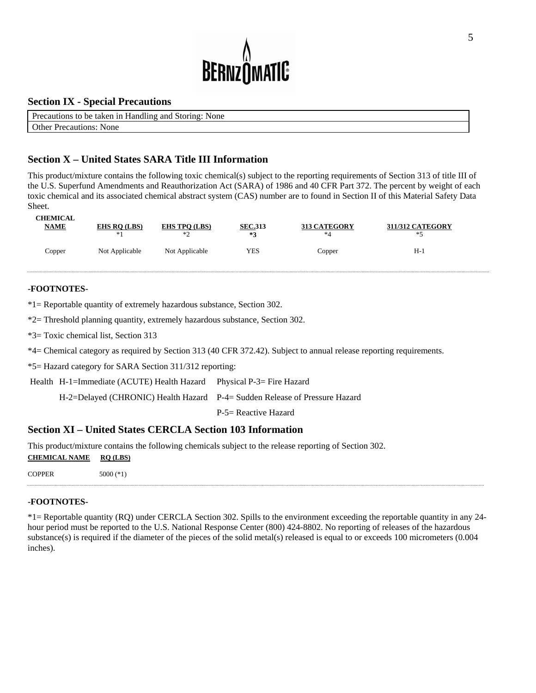

#### **Section IX - Special Precautions**

| Precautions to be taken in Handling and Storing: None |
|-------------------------------------------------------|
| <b>Other Precautions: None</b>                        |

# **Section X – United States SARA Title III Information**

This product/mixture contains the following toxic chemical(s) subject to the reporting requirements of Section 313 of title III of the U.S. Superfund Amendments and Reauthorization Act (SARA) of 1986 and 40 CFR Part 372. The percent by weight of each toxic chemical and its associated chemical abstract system (CAS) number are to found in Section II of this Material Safety Data Sheet.

| <b>CHEMICAL</b> | <b>EHS RQ (LBS)</b> | <b>EHS TPO (LBS)</b> | <b>SEC.313</b> | <b>313 CATEGORY</b> | <b>311/312 CATEGORY</b> |
|-----------------|---------------------|----------------------|----------------|---------------------|-------------------------|
| <u>NAME</u>     | *1                  | $*$                  | $*2$           | *4                  | ∗<                      |
| Copper          | Not Applicable      | Not Applicable       | YES            | Copper              | H-1                     |

#### **-FOOTNOTES-**

\*1= Reportable quantity of extremely hazardous substance, Section 302.

\*2= Threshold planning quantity, extremely hazardous substance, Section 302.

\*3= Toxic chemical list, Section 313

\*4= Chemical category as required by Section 313 (40 CFR 372.42). Subject to annual release reporting requirements.

\*5= Hazard category for SARA Section 311/312 reporting:

Health H-1=Immediate (ACUTE) Health Hazard Physical P-3= Fire Hazard

H-2=Delayed (CHRONIC) Health Hazard P-4= Sudden Release of Pressure Hazard

P-5= Reactive Hazard

#### **Section XI – United States CERCLA Section 103 Information**

This product/mixture contains the following chemicals subject to the release reporting of Section 302.

**CHEMICAL NAME RQ (LBS)**

COPPER 5000 (\*1)

#### **-FOOTNOTES-**

\*1= Reportable quantity (RQ) under CERCLA Section 302. Spills to the environment exceeding the reportable quantity in any 24 hour period must be reported to the U.S. National Response Center (800) 424-8802. No reporting of releases of the hazardous substance(s) is required if the diameter of the pieces of the solid metal(s) released is equal to or exceeds 100 micrometers (0.004 inches).